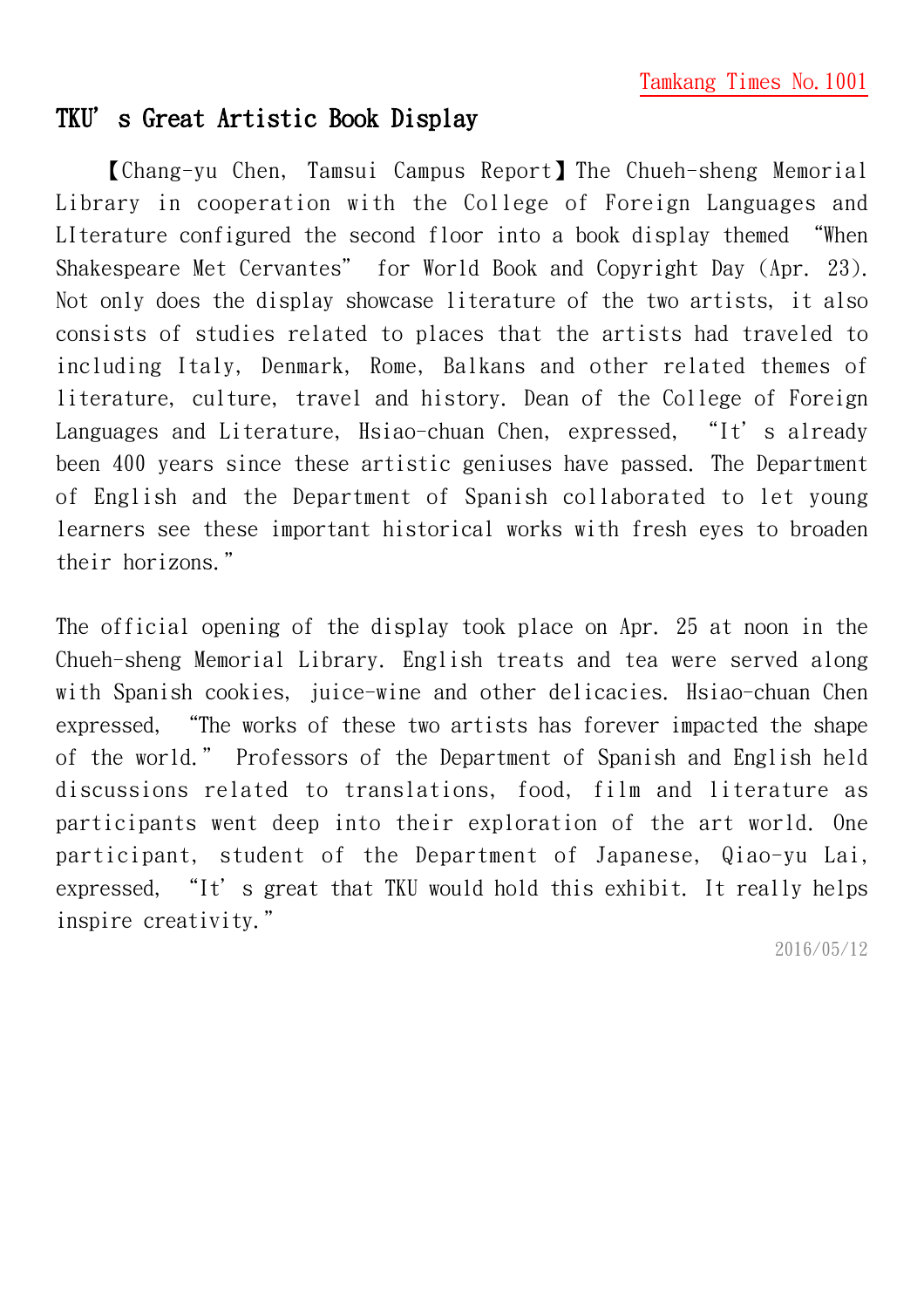## TKU's Great Artistic Book Display

【Chang-yu Chen, Tamsui Campus Report】The Chueh-sheng Memorial Library in cooperation with the College of Foreign Languages and LIterature configured the second floor into a book display themed "When Shakespeare Met Cervantes" for World Book and Copyright Day (Apr. 23). Not only does the display showcase literature of the two artists, it also consists of studies related to places that the artists had traveled to including Italy, Denmark, Rome, Balkans and other related themes of literature, culture, travel and history. Dean of the College of Foreign Languages and Literature, Hsiao-chuan Chen, expressed, "It's already been 400 years since these artistic geniuses have passed. The Department of English and the Department of Spanish collaborated to let young learners see these important historical works with fresh eyes to broaden their horizons."

The official opening of the display took place on Apr. 25 at noon in the Chueh-sheng Memorial Library. English treats and tea were served along with Spanish cookies, juice-wine and other delicacies. Hsiao-chuan Chen expressed, "The works of these two artists has forever impacted the shape of the world." Professors of the Department of Spanish and English held discussions related to translations, food, film and literature as participants went deep into their exploration of the art world. One participant, student of the Department of Japanese, Qiao-yu Lai, expressed, "It's great that TKU would hold this exhibit. It really helps inspire creativity."

2016/05/12